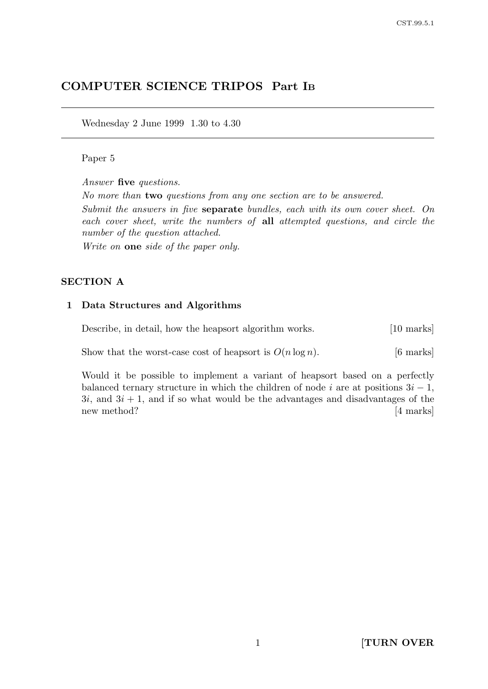# COMPUTER SCIENCE TRIPOS Part I<sup>B</sup>

Wednesday 2 June 1999 1.30 to 4.30

#### Paper 5

Answer five questions.

No more than two questions from any one section are to be answered.

Submit the answers in five separate bundles, each with its own cover sheet. On each cover sheet, write the numbers of all attempted questions, and circle the number of the question attached.

Write on **one** side of the paper only.

#### SECTION A

#### 1 Data Structures and Algorithms

Describe, in detail, how the heapsort algorithm works. [10 marks] Show that the worst-case cost of heapsort is  $O(n \log n)$ . [6 marks]

Would it be possible to implement a variant of heapsort based on a perfectly balanced ternary structure in which the children of node i are at positions  $3i - 1$ ,  $3i$ , and  $3i + 1$ , and if so what would be the advantages and disadvantages of the new method? [4 marks]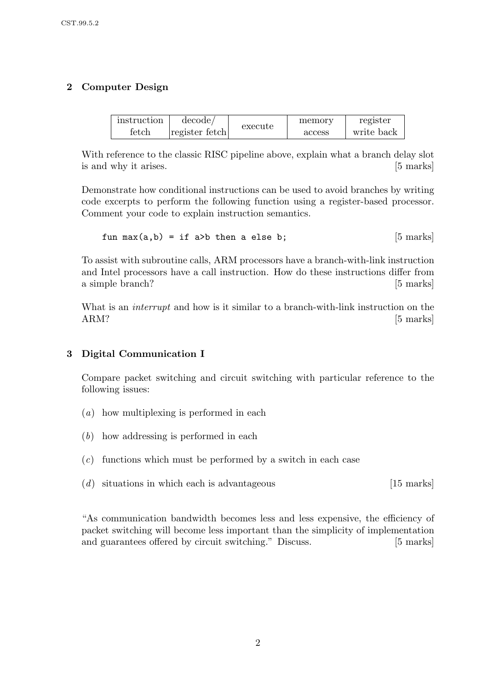# 2 Computer Design

| instruction    | decode/        | execute | memory | register   |
|----------------|----------------|---------|--------|------------|
| $_{\rm fetch}$ | register fetch |         | access | write back |

With reference to the classic RISC pipeline above, explain what a branch delay slot is and why it arises. [5 marks]

Demonstrate how conditional instructions can be used to avoid branches by writing code excerpts to perform the following function using a register-based processor. Comment your code to explain instruction semantics.

fun max(a,b) = if a>b then a else b; [5 marks]

To assist with subroutine calls, ARM processors have a branch-with-link instruction and Intel processors have a call instruction. How do these instructions differ from a simple branch? [5 marks]

What is an *interrupt* and how is it similar to a branch-with-link instruction on the ARM? [5 marks]

## 3 Digital Communication I

Compare packet switching and circuit switching with particular reference to the following issues:

- (a) how multiplexing is performed in each
- (b) how addressing is performed in each
- $(c)$  functions which must be performed by a switch in each case
- $(d)$  situations in which each is advantageous [15 marks]

"As communication bandwidth becomes less and less expensive, the efficiency of packet switching will become less important than the simplicity of implementation and guarantees offered by circuit switching." Discuss. [5 marks]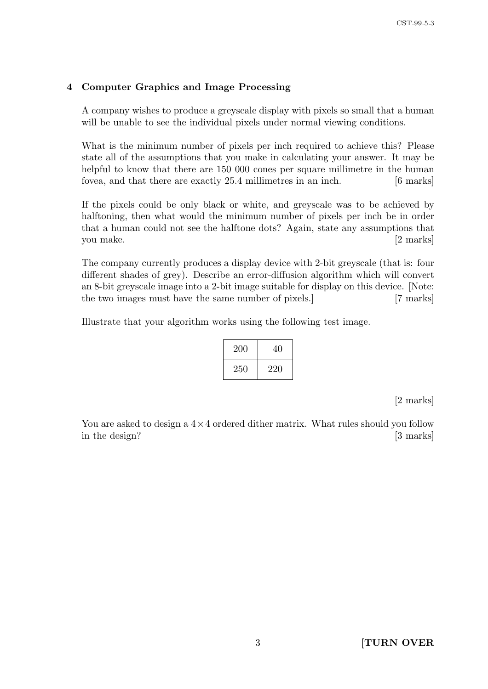### 4 Computer Graphics and Image Processing

A company wishes to produce a greyscale display with pixels so small that a human will be unable to see the individual pixels under normal viewing conditions.

What is the minimum number of pixels per inch required to achieve this? Please state all of the assumptions that you make in calculating your answer. It may be helpful to know that there are 150 000 cones per square millimetre in the human fovea, and that there are exactly 25.4 millimetres in an inch. [6 marks]

If the pixels could be only black or white, and greyscale was to be achieved by halftoning, then what would the minimum number of pixels per inch be in order that a human could not see the halftone dots? Again, state any assumptions that you make. [2 marks]

The company currently produces a display device with 2-bit greyscale (that is: four different shades of grey). Describe an error-diffusion algorithm which will convert an 8-bit greyscale image into a 2-bit image suitable for display on this device. [Note: the two images must have the same number of pixels.] [7 marks]

Illustrate that your algorithm works using the following test image.

| 200 | 40  |
|-----|-----|
| 250 | 220 |

[2 marks]

You are asked to design a  $4 \times 4$  ordered dither matrix. What rules should you follow in the design? [3 marks]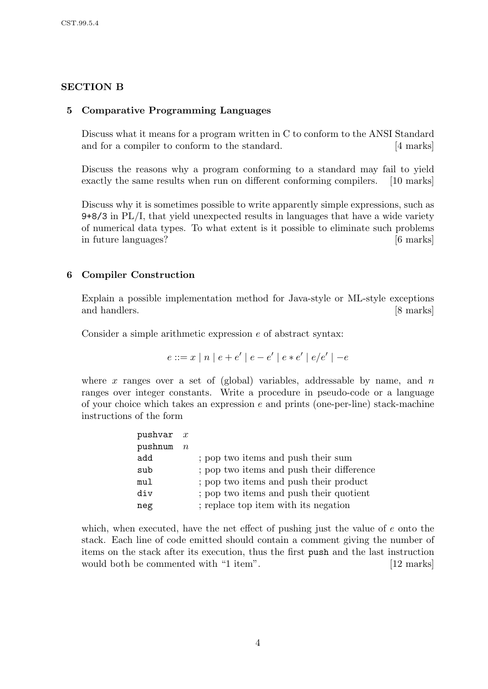## SECTION B

### 5 Comparative Programming Languages

Discuss what it means for a program written in C to conform to the ANSI Standard and for a compiler to conform to the standard. [4 marks]

Discuss the reasons why a program conforming to a standard may fail to yield exactly the same results when run on different conforming compilers. [10 marks]

Discuss why it is sometimes possible to write apparently simple expressions, such as 9+8/3 in PL/I, that yield unexpected results in languages that have a wide variety of numerical data types. To what extent is it possible to eliminate such problems in future languages? [6 marks]

## 6 Compiler Construction

Explain a possible implementation method for Java-style or ML-style exceptions and handlers. [8 marks]

Consider a simple arithmetic expression e of abstract syntax:

$$
e ::= x | n | e + e' | e - e' | e * e' | e / e' | -e
$$

where x ranges over a set of (global) variables, addressable by name, and  $n$ ranges over integer constants. Write a procedure in pseudo-code or a language of your choice which takes an expression  $e$  and prints (one-per-line) stack-machine instructions of the form

| pushvar x |           |                                           |
|-----------|-----------|-------------------------------------------|
| pushnum   | $n_{\rm}$ |                                           |
| add       |           | ; pop two items and push their sum        |
| sub       |           | ; pop two items and push their difference |
| mul       |           | ; pop two items and push their product    |
| div       |           | ; pop two items and push their quotient   |
| neg       |           | ; replace top item with its negation      |

which, when executed, have the net effect of pushing just the value of e onto the stack. Each line of code emitted should contain a comment giving the number of items on the stack after its execution, thus the first push and the last instruction would both be commented with "1 item". [12 marks]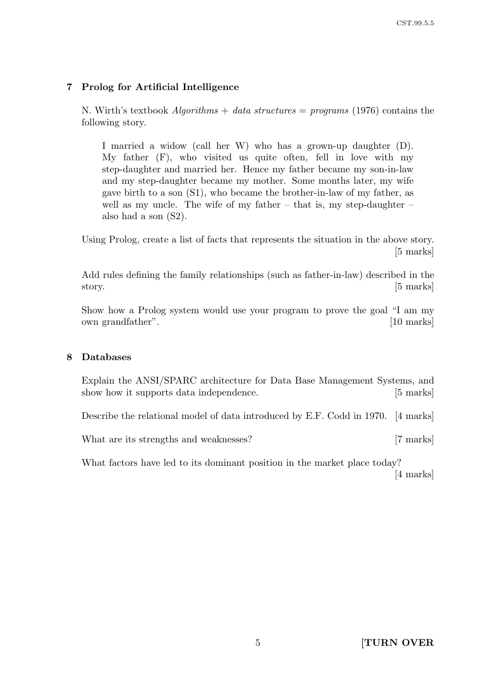## 7 Prolog for Artificial Intelligence

N. Wirth's textbook *Algorithms* + data structures = programs (1976) contains the following story.

I married a widow (call her W) who has a grown-up daughter (D). My father (F), who visited us quite often, fell in love with my step-daughter and married her. Hence my father became my son-in-law and my step-daughter became my mother. Some months later, my wife gave birth to a son (S1), who became the brother-in-law of my father, as well as my uncle. The wife of my father  $-$  that is, my step-daughter  $$ also had a son (S2).

Using Prolog, create a list of facts that represents the situation in the above story. [5 marks]

Add rules defining the family relationships (such as father-in-law) described in the story. [5 marks]

Show how a Prolog system would use your program to prove the goal "I am my own grandfather". [10 marks]

#### 8 Databases

Explain the ANSI/SPARC architecture for Data Base Management Systems, and show how it supports data independence. [5 marks]

Describe the relational model of data introduced by E.F. Codd in 1970. [4 marks]

What are its strengths and weaknesses? [7 marks]

What factors have led to its dominant position in the market place today? [4 marks]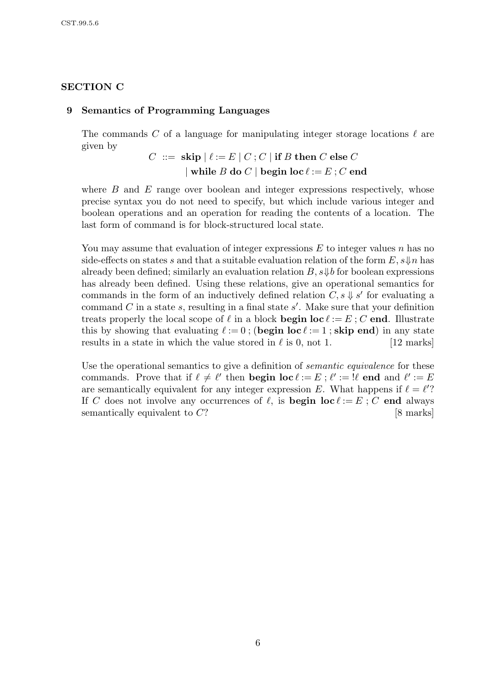## SECTION C

### 9 Semantics of Programming Languages

The commands C of a language for manipulating integer storage locations  $\ell$  are given by

$$
C\ ::=\ \mathbf{skip}\ |\ \ell\mathbin{{:}{=}}\ E\ |\ C\,;C\ |\ \mathbf{if}\ B\ \mathbf{then}\ C\ \mathbf{else}\ C\ \\\qquad \qquad \mid\mathbf{while}\ B\ \mathbf{do}\ C\ |\ \mathbf{begin}\ \mathbf{begin}\ \mathbf{for}\ \ell\mathbin{{:}{=}}\ E\ ;C\ \mathbf{end}\ \\\}
$$

where  $B$  and  $E$  range over boolean and integer expressions respectively, whose precise syntax you do not need to specify, but which include various integer and boolean operations and an operation for reading the contents of a location. The last form of command is for block-structured local state.

You may assume that evaluation of integer expressions  $E$  to integer values  $n$  has no side-effects on states s and that a suitable evaluation relation of the form  $E, s \downarrow n$  has already been defined; similarly an evaluation relation  $B$ ,  $s\psi b$  for boolean expressions has already been defined. Using these relations, give an operational semantics for commands in the form of an inductively defined relation  $C, s \downarrow s'$  for evaluating a command  $C$  in a state  $s$ , resulting in a final state  $s'$ . Make sure that your definition treats properly the local scope of  $\ell$  in a block **begin loc**  $\ell := E : C$  end. Illustrate this by showing that evaluating  $\ell := 0$ ; (begin loc  $\ell := 1$ ; skip end) in any state results in a state in which the value stored in  $\ell$  is 0, not 1. [12 marks]

Use the operational semantics to give a definition of *semantic equivalence* for these commands. Prove that if  $\ell \neq \ell'$  then **begin loc**  $\ell := E$ ;  $\ell' := \ell'$  end and  $\ell' := E$ are semantically equivalent for any integer expression E. What happens if  $\ell = \ell'$ ? If C does not involve any occurrences of  $\ell$ , is **begin loc**  $\ell := E$ ; C end always semantically equivalent to C? [8 marks]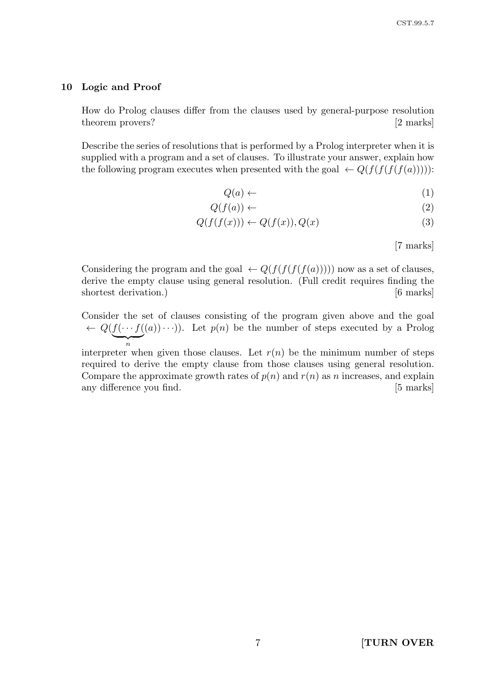#### 10 Logic and Proof

How do Prolog clauses differ from the clauses used by general-purpose resolution theorem provers? [2 marks]

Describe the series of resolutions that is performed by a Prolog interpreter when it is supplied with a program and a set of clauses. To illustrate your answer, explain how the following program executes when presented with the goal  $\leftarrow Q(f(f(f(f(a))))))$ :

$$
Q(a) \leftarrow \tag{1}
$$

$$
Q(f(a)) \leftarrow \tag{2}
$$

$$
Q(f(f(x))) \leftarrow Q(f(x)), Q(x)
$$
\n(3)

[7 marks]

Considering the program and the goal  $\leftarrow Q(f(f(f(f(a)))))$  now as a set of clauses, derive the empty clause using general resolution. (Full credit requires finding the shortest derivation.) [6 marks]

Consider the set of clauses consisting of the program given above and the goal  $\leftarrow Q(f(\cdots f))$  $\overline{n}$  $(a)(a) \cdots$ ). Let  $p(n)$  be the number of steps executed by a Prolog

interpreter when given those clauses. Let  $r(n)$  be the minimum number of steps required to derive the empty clause from those clauses using general resolution. Compare the approximate growth rates of  $p(n)$  and  $r(n)$  as n increases, and explain any difference you find.  $[5 \text{ marks}]$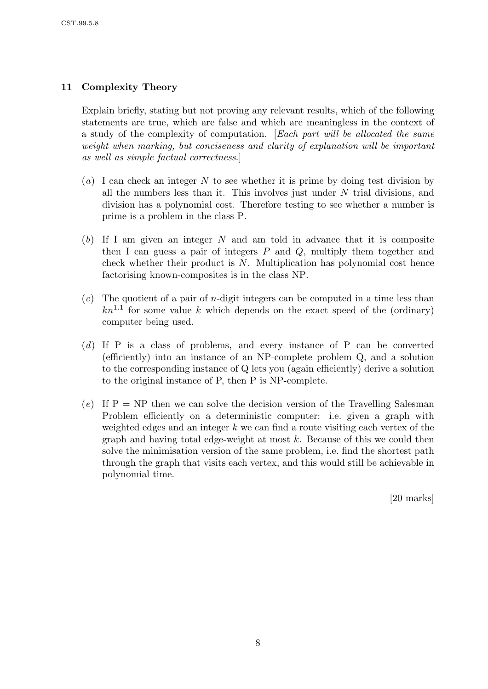## 11 Complexity Theory

Explain briefly, stating but not proving any relevant results, which of the following statements are true, which are false and which are meaningless in the context of a study of the complexity of computation. [Each part will be allocated the same weight when marking, but conciseness and clarity of explanation will be important as well as simple factual correctness.]

- (a) I can check an integer N to see whether it is prime by doing test division by all the numbers less than it. This involves just under  $N$  trial divisions, and division has a polynomial cost. Therefore testing to see whether a number is prime is a problem in the class P.
- $(b)$  If I am given an integer N and am told in advance that it is composite then I can guess a pair of integers  $P$  and  $Q$ , multiply them together and check whether their product is  $N$ . Multiplication has polynomial cost hence factorising known-composites is in the class NP.
- $(c)$  The quotient of a pair of *n*-digit integers can be computed in a time less than  $kn^{1.1}$  for some value k which depends on the exact speed of the (ordinary) computer being used.
- (d) If P is a class of problems, and every instance of P can be converted (efficiently) into an instance of an NP-complete problem Q, and a solution to the corresponding instance of Q lets you (again efficiently) derive a solution to the original instance of P, then P is NP-complete.
- (e) If  $P = NP$  then we can solve the decision version of the Travelling Salesman Problem efficiently on a deterministic computer: i.e. given a graph with weighted edges and an integer  $k$  we can find a route visiting each vertex of the graph and having total edge-weight at most  $k$ . Because of this we could then solve the minimisation version of the same problem, i.e. find the shortest path through the graph that visits each vertex, and this would still be achievable in polynomial time.

[20 marks]